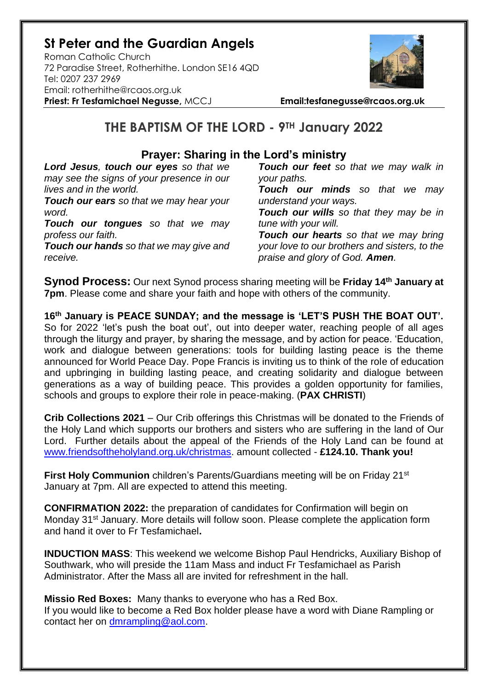### **St Peter and the Guardian Angels**

Roman Catholic Church 72 Paradise Street, Rotherhithe. London SE16 4QD [Tel: 0207](tel:0207) 237 2969 Email: rotherhithe@rcaos.org.uk **Priest: Fr Tesfamichael Negusse,** MCCJ **Email:tesfanegusse@rcaos.org.uk**



# **THE BAPTISM OF THE LORD - 9TH January 2022**

### **Prayer: Sharing in the Lord's ministry**

*Lord Jesus, touch our eyes so that we may see the signs of your presence in our lives and in the world.* 

*Touch our ears so that we may hear your word.* 

*Touch our tongues so that we may profess our faith.* 

*Touch our hands so that we may give and receive.* 

*Touch our feet so that we may walk in your paths.* 

*Touch our minds so that we may understand your ways.* 

*Touch our wills so that they may be in tune with your will.* 

*Touch our hearts so that we may bring your love to our brothers and sisters, to the praise and glory of God. Amen.* 

**Synod Process:** Our next Synod process sharing meeting will be **Friday 14th January at 7pm**. Please come and share your faith and hope with others of the community.

**16th January is PEACE SUNDAY; and the message is 'LET'S PUSH THE BOAT OUT'.**  So for 2022 'let's push the boat out', out into deeper water, reaching people of all ages through the liturgy and prayer, by sharing the message, and by action for peace. 'Education, work and dialogue between generations: tools for building lasting peace is the theme announced for World Peace Day. Pope Francis is inviting us to think of the role of education and upbringing in building lasting peace, and creating solidarity and dialogue between generations as a way of building peace. This provides a golden opportunity for families, schools and groups to explore their role in peace-making. (**PAX CHRISTI**)

**Crib Collections 2021** – Our Crib offerings this Christmas will be donated to the Friends of the Holy Land which supports our brothers and sisters who are suffering in the land of Our Lord. Further details about the appeal of the Friends of the Holy Land can be found at [www.friendsoftheholyland.org.uk/christmas.](http://www.friendsoftheholyland.org.uk/christmas) amount collected - **£124.10. Thank you!**

**First Holy Communion** children's Parents/Guardians meeting will be on Friday 21<sup>st</sup> January at 7pm. All are expected to attend this meeting.

**CONFIRMATION 2022:** the preparation of candidates for Confirmation will begin on Monday 31<sup>st</sup> January. More details will follow soon. Please complete the application form and hand it over to Fr Tesfamichael**.** 

**INDUCTION MASS**: This weekend we welcome Bishop Paul Hendricks, Auxiliary Bishop of Southwark, who will preside the 11am Mass and induct Fr Tesfamichael as Parish Administrator. After the Mass all are invited for refreshment in the hall.

**Missio Red Boxes:** Many thanks to everyone who has a Red Box. If you would like to become a Red Box holder please have a word with Diane Rampling or contact her on [dmrampling@aol.com.](mailto:dmrampling@aol.com)